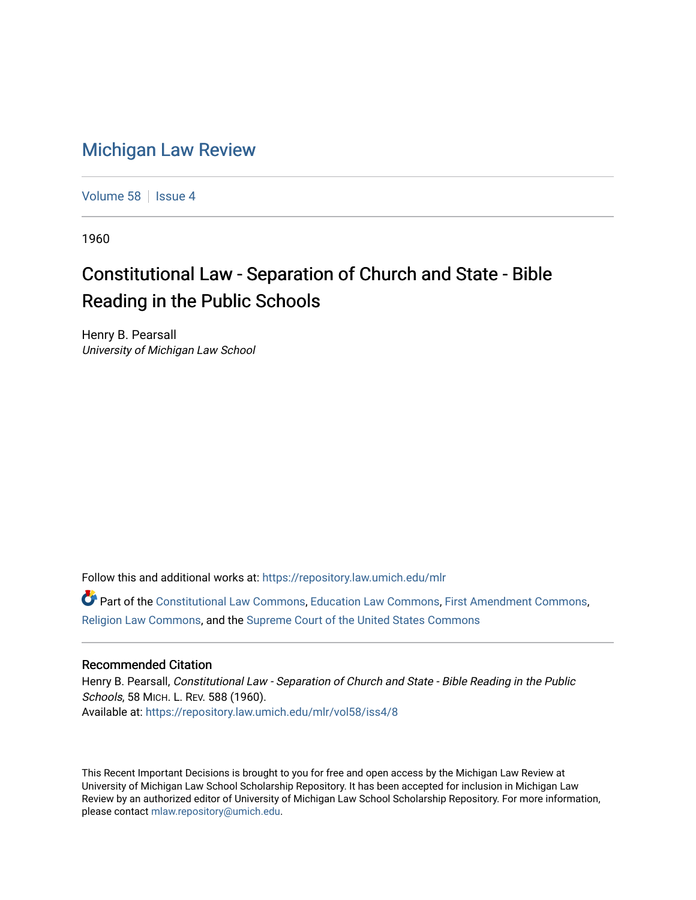## [Michigan Law Review](https://repository.law.umich.edu/mlr)

[Volume 58](https://repository.law.umich.edu/mlr/vol58) | [Issue 4](https://repository.law.umich.edu/mlr/vol58/iss4)

1960

## Constitutional Law - Separation of Church and State - Bible Reading in the Public Schools

Henry B. Pearsall University of Michigan Law School

Follow this and additional works at: [https://repository.law.umich.edu/mlr](https://repository.law.umich.edu/mlr?utm_source=repository.law.umich.edu%2Fmlr%2Fvol58%2Fiss4%2F8&utm_medium=PDF&utm_campaign=PDFCoverPages) 

Part of the [Constitutional Law Commons,](http://network.bepress.com/hgg/discipline/589?utm_source=repository.law.umich.edu%2Fmlr%2Fvol58%2Fiss4%2F8&utm_medium=PDF&utm_campaign=PDFCoverPages) [Education Law Commons,](http://network.bepress.com/hgg/discipline/596?utm_source=repository.law.umich.edu%2Fmlr%2Fvol58%2Fiss4%2F8&utm_medium=PDF&utm_campaign=PDFCoverPages) [First Amendment Commons,](http://network.bepress.com/hgg/discipline/1115?utm_source=repository.law.umich.edu%2Fmlr%2Fvol58%2Fiss4%2F8&utm_medium=PDF&utm_campaign=PDFCoverPages) [Religion Law Commons,](http://network.bepress.com/hgg/discipline/872?utm_source=repository.law.umich.edu%2Fmlr%2Fvol58%2Fiss4%2F8&utm_medium=PDF&utm_campaign=PDFCoverPages) and the [Supreme Court of the United States Commons](http://network.bepress.com/hgg/discipline/1350?utm_source=repository.law.umich.edu%2Fmlr%2Fvol58%2Fiss4%2F8&utm_medium=PDF&utm_campaign=PDFCoverPages) 

## Recommended Citation

Henry B. Pearsall, Constitutional Law - Separation of Church and State - Bible Reading in the Public Schools, 58 MICH. L. REV. 588 (1960). Available at: [https://repository.law.umich.edu/mlr/vol58/iss4/8](https://repository.law.umich.edu/mlr/vol58/iss4/8?utm_source=repository.law.umich.edu%2Fmlr%2Fvol58%2Fiss4%2F8&utm_medium=PDF&utm_campaign=PDFCoverPages)

This Recent Important Decisions is brought to you for free and open access by the Michigan Law Review at University of Michigan Law School Scholarship Repository. It has been accepted for inclusion in Michigan Law Review by an authorized editor of University of Michigan Law School Scholarship Repository. For more information, please contact [mlaw.repository@umich.edu.](mailto:mlaw.repository@umich.edu)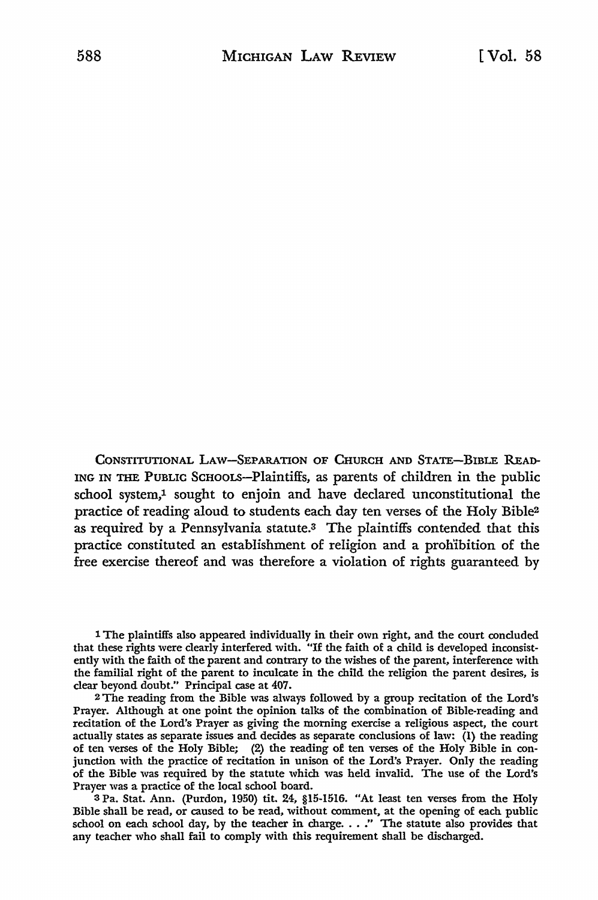CONSTITUTIONAL LAW-SEPARATION OF CHURCH AND STATE-BIBLE READ-ING IN THE PUBLIC SCHOOLS-Plaintiffs, as parents of children in the public school system,<sup>1</sup> sought to enjoin and have declared unconstitutional the practice of reading aloud to students each day ten verses of the Holy Bible<sup>2</sup> as required by a Pennsylvania statute.<sup>3</sup> The plaintiffs contended that this practice constituted an establishment of religion and a proliibition of the free exercise thereof and was therefore a violation of rights guaranteed by

1 The plaintiffs also appeared individually in their own right, and the court concluded that these rights were clearly interfered with. "If the faith of a child is developed inconsistently with the faith of the parent and contrary to the wishes of the parent, interference with the familial right of the parent to inculcate in the child the religion the parent desires, is clear beyond doubt." Principal case at 407.

<sup>2</sup>The reading from the Bible was always followed by a group recitation of the Lord's Prayer. Although at one point the opinion talks of the combination of Bible-reading and recitation of the Lord's Prayer as giving the morning exercise a religious aspect, the court actually states as separate issues and decides as separate conclusions of law:  $\overline{1}$ ) the reading of ten verses of the Holy Bible; (2) the reading of ten verses of the Holy Bible in conjunction with the practice of recitation in unison of the Lord's Prayer. Only the reading of the Bible was required by the statute which was held invalid. The use of the Lord's Prayer was a practice of the local school board.

<sup>3</sup>Pa. Stat. Ann. (Purdon, 1950) tit. 24, §15-1516. "At least ten verses from the Holy Bible shall be read, or caused to be read, without comment, at the opening of each public school on each school day, by the teacher in charge. . . ." The statute also provides that any teacher who shall fail to comply with this requirement shall be discharged.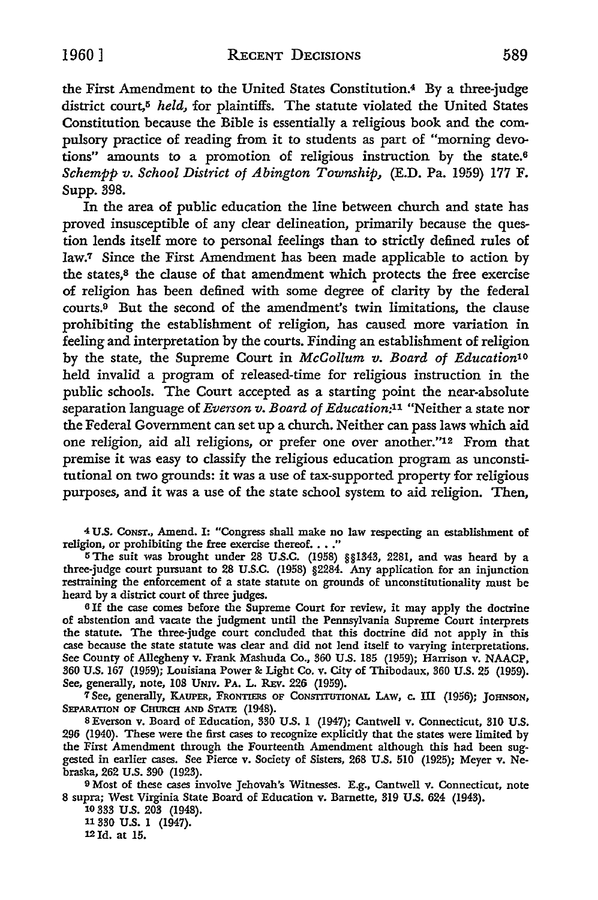the First Amendment to the United States Constitution.4 By a three-judge district court,<sup>5</sup> *held*, for plaintiffs. The statute violated the United States Constitution because the Bible is essentially a religious book and the compulsory practice of reading from it to students as part of "morning devotions" amounts to a promotion of religious instruction by the state.<sup>6</sup> *Schempp v. School District of Abington Township,* (E.D. Pa. 1959) 177 F. Supp. 398.

In the area of public education the line between church and state has proved insusceptible of any clear delineation, primarily because the question lends itself more to personal feelings than to strictly defined rules of law.7 Since the First Amendment has been made applicable to action by the states,8 the clause of that amendment which protects the free exercise o£ religion has been defined with some degree of clarity by the federal courts.9 But the second of the amendment's twin limitations, the clause prohibiting the establishment of religion, has caused more variation in feeling and interpretation by the courts. Finding an establishment of religion by the state, the Supreme Court in *McCollum v. Board of Education10*  held invalid a program of released-time for religious instruction in the public schools. The Court accepted as a starting point the near-absolute separation language of *Everson v. Board of Education:11* "Neither a state nor the Federal Government can set up a church. Neither can pass laws which aid one religion, aid all religions, or prefer one over another."<sup>12</sup> From that premise it was easy to classify the religious education program as unconstitutional on two grounds: it was a use of tax-supported property for religious purposes, and it was a use of the state school system to aid religion. Then,

<sup>4</sup>U.S. CoNsr., Amend. I: "Congress shall make no law respecting an establishment of religion, or prohibiting the free exercise thereof.  $\ldots$ ."

<sup>5</sup> The suit was brought under 28 U.S.C. (1958) §§1343, 2281, and was heard by a three-judge court pursuant to 28 U.S.C. (1958) §2284. Any application for an injunction restraining the enforcement of a state statute on grounds of unconstitutionality must be heard by a district court of three judges.

<sup>6</sup>If the case comes before the Supreme Court for review, it may apply the doctrine of abstention and vacate the judgment until the Pennsylvania Supreme Court interprets the statute. The three-judge court concluded that this doctrine did not apply in this case because the state statute was clear and did not lend itself to varying interpretations. See County of Allegheny v. Frank Mashuda Co., 360 U.S. 185 (1959); Harrison v. NAACP, 360 U.S. 167 (1959); Louisiana Power&: Light Co. v. City of Thibodaux, 360 U.S. 25 (1959). See, generally, note, 108 UNiv. PA. L. REv. 226 (1959).

<sup>7</sup> See, generally, KAUPER, FRONTIERS OF CONSTITUTIONAL LAW, c. III (1956); JOHNSON, SEPARATION OF CHURCH AND STATE (1948).

s Everson v. Board of Education, 330 U.S. 1 (1947); Cantwell v. Connecticut, 310 U.S. 296 (1940). These were the first cases to recognize explicitly that the states were limited by the First Amendment through the Fourteenth Amendment although this had been suggested in earlier cases. See Pierce v. Society of Sisters, 268 U.S. 510 (1925); Meyer v. Nebraska, 262 U.S. 390 (1923).

9 Most of these cases involve Jehovah's Witnesses. E.g., Cantwell v. Connecticut, note 8 supra; West Virginia State Board of Education v. Barnette, 319 U.S. 624 (1943).

10 333 U.S. 203 (1948). 11 330 U.S. l (1947). 121d. at 15.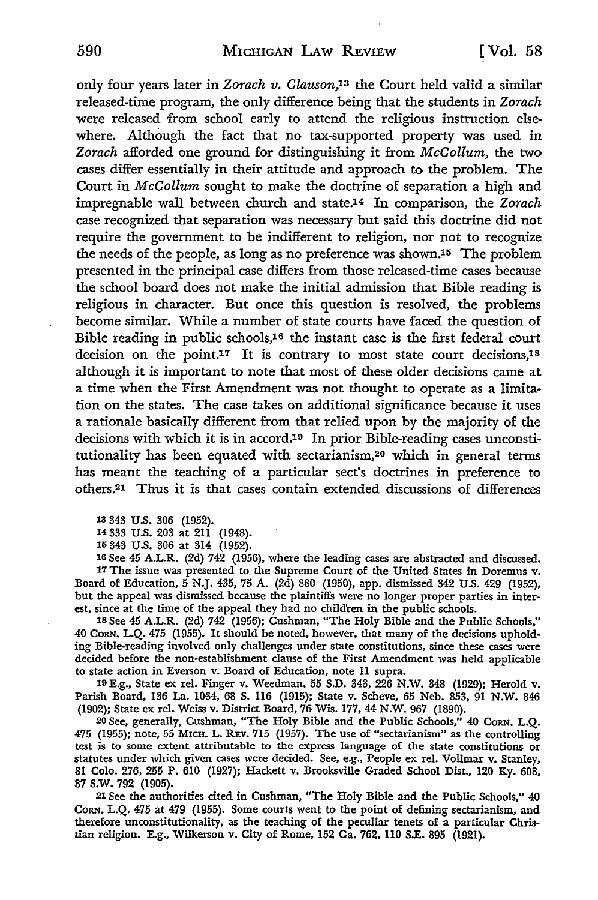only four years later in *Zorach v. Clauson,13* the Court held valid a similar released-time program, the only difference being that the students in *Zorach*  were released from school early to attend the religious instruction elsewhere. Although the fact that no tax-supported property was used in *Zorach* afforded one ground for distinguishing it from *McCollum,* the two cases differ essentially in their attitude and approach to the problem. The Court in *Mccollum* sought to make the doctrine of separation a high and impregnable wall between church and state.14 In comparison, the *Zorach*  case recognized that separation was necessary but said this doctrine did not require the government to be indifferent to religion, nor not to recognize the needs of the people, as long as no preference was shown.15 The problem presented in the principal case differs from those released-time cases because the school board does not make the initial admission that Bible reading is religious in character. But once this question is resolved, the problems become similar. While a number of state courts have faced the question of Bible reading in public schools,16 the instant case is the first federal court decision on the point.17 It is contrary to most state court decisions,1s although it is important to note that most of these older decisions came at a time when the First Amendment was not thought to operate as a limitation on the states. The case takes on additional significance because it uses a rationale basically different from that relied upon by the majority of the decisions with which it is in accord.19 In prior Bible-reading cases unconstitutionality has been equated with sectarianism,20 which in general terms has meant the teaching of a particular sect's doctrines in preference to others.21 Thus it is that cases contain extended discussions of differences

13 343 U.S. 306 (1952).

14 333 U.S. 203 at 211 (1948).

15 343 U.S. 306 at 314 (1952).

16 See 45 A.L.R. (2d) 742 (1956), where the leading cases are abstracted and discussed. 17 The issue was presented to the Supreme Court of the United States in Doremus v. Board of Education, 5 N.J. 435, 75 A. (2d) 880 (1950), app. dismissed 342 U.S. 429 (1952), but the appeal was dismissed because the plaintiffs were no longer proper parties in interest, since at the time of the appeal they had no children in the public schools.

18 See 45 **A.L.R.** (2d) 742 (1956); Cushman, "The Holy Bible and the Public Schools," 40 CoRN. L.Q. 475 (1955). It should be noted, however, that many of the decisions upholding Bible-reading involved only challenges under state constitutions, since these cases were decided before the non-establishment clause of the First Amendment was held applicable **to** state action in Everson v. Board of Education, note 11 supra.

19 E.g., State ex rel. Finger v. Weedman, 55 S.D. 343, 226 N.W. 348 (1929); Herold v. Parish Board, 136 La. 1034, 68 S. 116 (1915); State v. Scheve, 65 Neb. 853, 91 N.W. 846 (1902); State ex rel. Weiss v. District Board, 76 Wis. 177, 44 N.W. 967 (1890).

20 See, generally, Cushman, "The Holy Bible and the Public Schools,'' 40 CoRN. L.Q. 475 (1955); note, 55 MICH. L. REv. 715 (1957). The use of "sectarianism" as the controlling test is to some extent attributable to the express language of the state constitutions or statutes under which given cases were decided. See, e.g., People ex rel. Vollmar v. Stanley, 81 Colo. 276, 255 P. 610 (1927); Hackett v. Brooksville Graded School Dist., 120 Ky. 608, 87 s.w. 792 (1905).

21 See the authorities cited in Cushman, "The Holy Bible and the Public Schools,'' 40 CoRN. L.Q. 475 at 479 (1955). Some courts went to the point of defining sectarianism, and therefore unconstitutionality, as the teaching of the peculiar tenets of a particular Christian religion. E.g., Wilkerson v. City of Rome, 152 Ga. 762, 110 S.E. 895 (1921).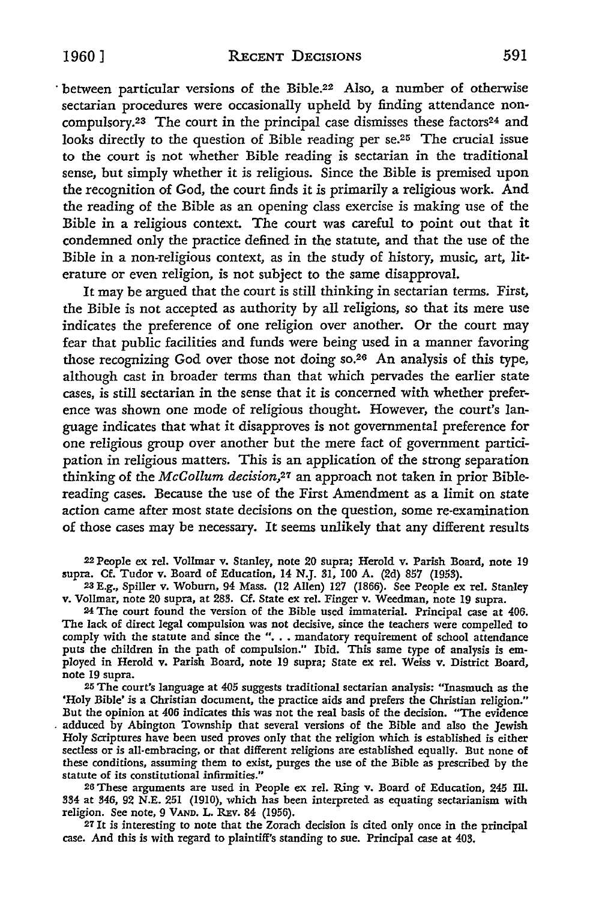· between particular versions of the Bible.22 Also, a number of otherwise sectarian procedures were occasionally upheld by finding attendance noncompulsory.<sup>23</sup> The court in the principal case dismisses these factors<sup>24</sup> and looks directly to the question of Bible reading per se.<sup>25</sup> The crucial issue to the court is not whether Bible reading is sectarian in the traditional sense, but simply whether it is religious. Since the Bible is premised upon the recognition of God, the court finds it is primarily a religious work. And the reading of the Bible as an opening class exercise is making use of the Bible in a religious context. The court was careful to point out that it condemned only the practice defined in the statute, and that the use of the Bible in a non-religious context, as in the study of history, music, art, literature or even religion, is not subject to the same disapproval.

It may be argued that the court is still thinking in sectarian terms. First, the Bible is not accepted as authority by all religions, so that its mere use indicates the preference of one religion over another. Or the court may fear that public facilities and funds were being used in a manner favoring those recognizing God over those not doing so.26 An analysis of this type, although cast in broader terms than that which pervades the earlier state cases, is still sectarian in the sense that it is concerned with whether preference was shown one mode of religious thought. However, the court's language indicates that what it disapproves is not governmental preference for one religious group over another but the mere fact of government participation in religious matters. This is an application of the strong separation thinking of the *McCollum decision,21* an approach not taken in prior Biblereading cases. Because the use of the First Amendment as a limit on state action came after most state decisions on the question, some re-examination of those cases may be necessary. It seems unlikely that any different results

22 People ex rel. Vollmar v. Stanley, note 20 supra; Herold v. Parish Board, note 19 supra. Cf. Tudor v. Board of Education, 14 N.J. 31, 100 A. (2d) 857 (1953).

23 E.g., Spiller v. Woburn, 94 Mass. (12 Allen) 127 (1866). See People ex rel. Stanley v. Vollmar, note 20 supra, at 283. Cf. State ex rel. Finger v. Weedman, note 19 supra.

<sup>24</sup>The court found the version of the Bible used immaterial. Principal case at 406. The lack of direct legal compulsion was not decisive, since the teachers were compelled to comply with the statute and since the ". . . mandatory requirement of school attendance puts the children in the path of compulsion.'' Ibid. This same type of analysis is employed in Herold v. Parish Board, note 19 supra; State ex rel. Weiss v. District Board, note 19 supra.

25 The court's language at 405 suggests traditional sectarian analysis: "Inasmuch as the 'Holy Bible' *is* a Christian document, the practice aids and prefers the Christian religion.'' But the opinion at 406 indicates this was not the real basis of the decision. "The evidence . adduced by Abington Township that several versions of the Bible and also the Jewish Holy Scriptures have been used proves only that the religion which is established is either sectless or is all-embracing, or that different religions are established equally. But none of these conditions, assuming them to exist, purges the use of the Bible as prescribed by the statute of its constitutional infirmities."

26 These arguments are used in People ex rel. Ring v. Board of Education, 245 ru. 334 at 346, 92 N.E. 251 (1910), which has been interpreted as equating sectarianism with religion. See note, 9 VAND. L. REv. 84 (1956).

27 It is interesting to note that the Zorach decision is cited only once in the principal case. And this is with regard to plaintiff's standing to sue. Principal case at 403.